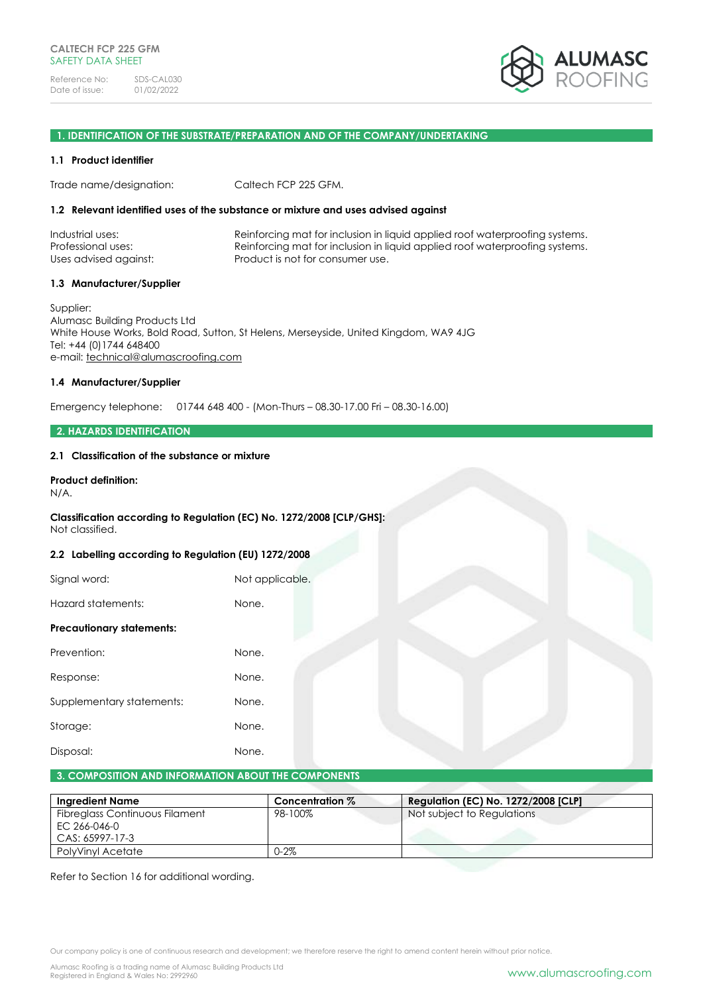

# **1. IDENTIFICATION OF THE SUBSTRATE/PREPARATION AND OF THE COMPANY/UNDERTAKING**

#### **1.1 Product identifier**

Trade name/designation: Caltech FCP 225 GFM.

#### **1.2 Relevant identified uses of the substance or mixture and uses advised against**

| Industrial uses:      | Reinforcing mat for inclusion in liquid applied roof waterproofing systems. |
|-----------------------|-----------------------------------------------------------------------------|
| Professional uses:    | Reinforcing mat for inclusion in liquid applied roof waterproofing systems. |
| Uses advised against: | Product is not for consumer use.                                            |

#### **1.3 Manufacturer/Supplier**

Supplier: Alumasc Building Products Ltd White House Works, Bold Road, Sutton, St Helens, Merseyside, United Kingdom, WA9 4JG Tel: +44 (0)1744 648400 e-mail: [technical@alumascroofing.com](mailto:technical@alumascroofing.com)

## **1.4 Manufacturer/Supplier**

Emergency telephone: 01744 648 400 - (Mon-Thurs – 08.30-17.00 Fri – 08.30-16.00)

#### **2. HAZARDS IDENTIFICATION**

#### **2.1 Classification of the substance or mixture**

# **Product definition:**

N/A.

# **Classification according to Regulation (EC) No. 1272/2008 [CLP/GHS]:**

# Not classified.

#### **2.2 Labelling according to Regulation (EU) 1272/2008**

| Not applicable. |
|-----------------|
| None.           |
|                 |
| None.           |
| None.           |
| None.           |
| None.           |
| None.           |
|                 |

#### **3. COMPOSITION AND INFORMATION ABOUT THE COMPONENTS**

| <b>Ingredient Name</b>                                            | Concentration % | <b>Regulation (EC) No. 1272/2008 [CLP]</b> |
|-------------------------------------------------------------------|-----------------|--------------------------------------------|
| Fibreglass Continuous Filament<br>EC 266-046-0<br>CAS: 65997-17-3 | 98-100%         | Not subject to Regulations                 |
| PolyVinyl Acetate                                                 | $0 - 2\%$       |                                            |

Refer to Section 16 for additional wording.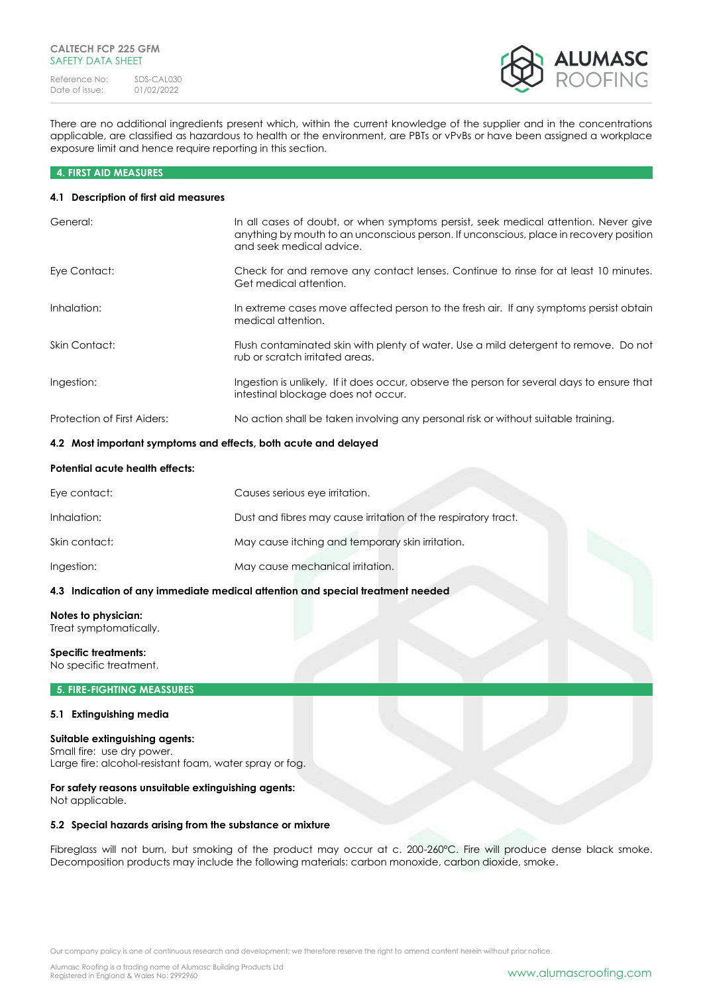

There are no additional ingredients present which, within the current knowledge of the supplier and in the concentrations applicable, are classified as hazardous to health or the environment, are PBTs or vPvBs or have been assigned a workplace exposure limit and hence require reporting in this section.

#### **4. FIRST AID MEASURES**

#### **4.1 Description of first aid measures**

| General:                    | In all cases of doubt, or when symptoms persist, seek medical attention. Never give<br>anything by mouth to an unconscious person. If unconscious, place in recovery position<br>and seek medical advice. |
|-----------------------------|-----------------------------------------------------------------------------------------------------------------------------------------------------------------------------------------------------------|
| Eye Contact:                | Check for and remove any contact lenses. Continue to rinse for at least 10 minutes.<br>Get medical attention.                                                                                             |
| Inhalation:                 | In extreme cases move affected person to the fresh air. If any symptoms persist obtain<br>medical attention.                                                                                              |
| Skin Contact:               | Flush contaminated skin with plenty of water. Use a mild detergent to remove. Do not<br>rub or scratch irritated areas.                                                                                   |
| Ingestion:                  | Ingestion is unlikely. If it does occur, observe the person for several days to ensure that<br>intestinal blockage does not occur.                                                                        |
| Protection of First Aiders: | No action shall be taken involving any personal risk or without suitable training.                                                                                                                        |

#### **4.2 Most important symptoms and effects, both acute and delayed**

#### **Potential acute health effects:**

| Eye contact:  | Causes serious eye irritation.                                 |
|---------------|----------------------------------------------------------------|
| Inhalation:   | Dust and fibres may cause irritation of the respiratory tract. |
| Skin contact: | May cause itching and temporary skin irritation.               |
| Ingestion:    | May cause mechanical irritation.                               |

# **4.3 Indication of any immediate medical attention and special treatment needed**

# **Notes to physician:**

Treat symptomatically.

# **Specific treatments:**

No specific treatment.

#### **5. FIRE-FIGHTING MEASSURES**

#### **5.1 Extinguishing media**

## **Suitable extinguishing agents:**

Small fire: use dry power. Large fire: alcohol-resistant foam, water spray or fog.

# **For safety reasons unsuitable extinguishing agents:**

Not applicable.

#### **5.2 Special hazards arising from the substance or mixture**

Fibreglass will not burn, but smoking of the product may occur at c. 200-260°C. Fire will produce dense black smoke. Decomposition products may include the following materials: carbon monoxide, carbon dioxide, smoke.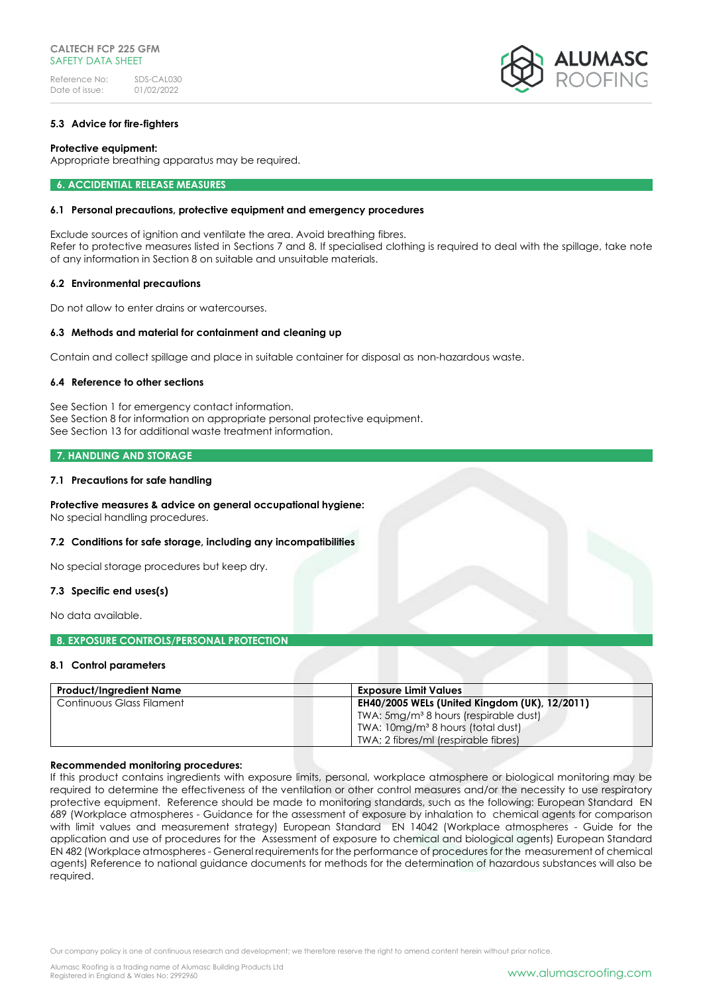#### **5.3 Advice for fire-fighters**

#### **Protective equipment:**

Appropriate breathing apparatus may be required.

**6. ACCIDENTIAL RELEASE MEASURES** 

#### **6.1 Personal precautions, protective equipment and emergency procedures**

Exclude sources of ignition and ventilate the area. Avoid breathing fibres. Refer to protective measures listed in Sections 7 and 8. If specialised clothing is required to deal with the spillage, take note of any information in Section 8 on suitable and unsuitable materials.

#### **6.2 Environmental precautions**

Do not allow to enter drains or watercourses.

#### **6.3 Methods and material for containment and cleaning up**

Contain and collect spillage and place in suitable container for disposal as non-hazardous waste.

#### **6.4 Reference to other sections**

See Section 1 for emergency contact information. See Section 8 for information on appropriate personal protective equipment. See Section 13 for additional waste treatment information.

#### **7. HANDLING AND STORAGE**

#### **7.1 Precautions for safe handling**

#### **Protective measures & advice on general occupational hygiene:** No special handling procedures.

#### **7.2 Conditions for safe storage, including any incompatibilities**

No special storage procedures but keep dry.

#### **7.3 Specific end uses(s)**

No data available.

#### **8. EXPOSURE CONTROLS/PERSONAL PROTECTION**

#### **8.1 Control parameters**

| <b>Product/Ingredient Name</b> | <b>Exposure Limit Values</b>                      |
|--------------------------------|---------------------------------------------------|
| Continuous Glass Filament      | EH40/2005 WELs (United Kingdom (UK), 12/2011)     |
|                                | TWA: 5mg/m <sup>3</sup> 8 hours (respirable dust) |
|                                | TWA: 10mg/m <sup>3</sup> 8 hours (total dust)     |
|                                | TWA; 2 fibres/ml (respirable fibres)              |

#### **Recommended monitoring procedures:**

If this product contains ingredients with exposure limits, personal, workplace atmosphere or biological monitoring may be required to determine the effectiveness of the ventilation or other control measures and/or the necessity to use respiratory protective equipment. Reference should be made to monitoring standards, such as the following: European Standard EN 689 (Workplace atmospheres - Guidance for the assessment of exposure by inhalation to chemical agents for comparison with limit values and measurement strategy) European Standard EN 14042 (Workplace atmospheres - Guide for the application and use of procedures for the Assessment of exposure to chemical and biological agents) European Standard EN 482 (Workplace atmospheres - General requirements for the performance of procedures for the measurement of chemical agents) Reference to national guidance documents for methods for the determination of hazardous substances will also be required.

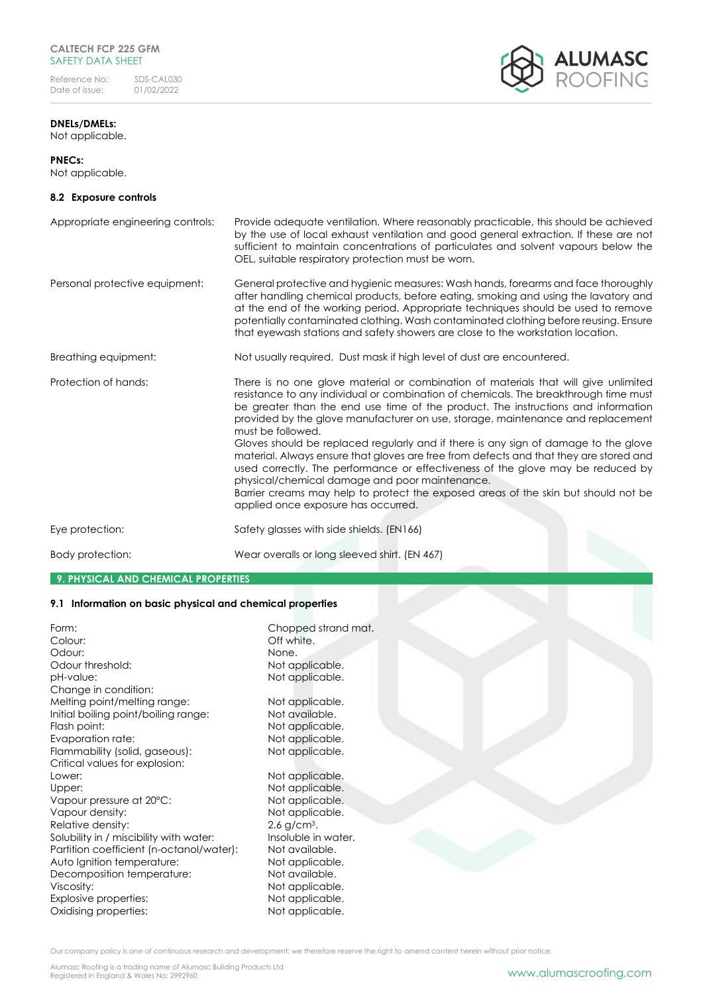# **CALTECH FCP 225 GFM** SAFETY DATA SHEET

Reference No: SDS-CAL030<br>Date of issue: 01/02/2022 Date of issue:

# **ALUMASC**<br>ROOFING

# **DNELs/DMELs:** Not applicable.

# **PNECs:**

Not applicable.

# **8.2 Exposure controls**

| Appropriate engineering controls: | Provide adequate ventilation. Where reasonably practicable, this should be achieved<br>by the use of local exhaust ventilation and good general extraction. If these are not<br>sufficient to maintain concentrations of particulates and solvent vapours below the<br>OEL, suitable respiratory protection must be worn.                                                                                                                                                                                                                                                                                                                                                                                                                                                                                                   |
|-----------------------------------|-----------------------------------------------------------------------------------------------------------------------------------------------------------------------------------------------------------------------------------------------------------------------------------------------------------------------------------------------------------------------------------------------------------------------------------------------------------------------------------------------------------------------------------------------------------------------------------------------------------------------------------------------------------------------------------------------------------------------------------------------------------------------------------------------------------------------------|
| Personal protective equipment:    | General protective and hygienic measures: Wash hands, forearms and face thoroughly<br>after handling chemical products, before eating, smoking and using the lavatory and<br>at the end of the working period. Appropriate techniques should be used to remove<br>potentially contaminated clothing. Wash contaminated clothing before reusing. Ensure<br>that eyewash stations and safety showers are close to the workstation location.                                                                                                                                                                                                                                                                                                                                                                                   |
| Breathing equipment:              | Not usually required. Dust mask if high level of dust are encountered.                                                                                                                                                                                                                                                                                                                                                                                                                                                                                                                                                                                                                                                                                                                                                      |
| Protection of hands:              | There is no one glove material or combination of materials that will give unlimited<br>resistance to any individual or combination of chemicals. The breakthrough time must<br>be greater than the end use time of the product. The instructions and information<br>provided by the glove manufacturer on use, storage, maintenance and replacement<br>must be followed.<br>Gloves should be replaced regularly and if there is any sign of damage to the glove<br>material. Always ensure that gloves are free from defects and that they are stored and<br>used correctly. The performance or effectiveness of the glove may be reduced by<br>physical/chemical damage and poor maintenance.<br>Barrier creams may help to protect the exposed areas of the skin but should not be<br>applied once exposure has occurred. |
| Eye protection:                   | Safety glasses with side shields. (EN166)                                                                                                                                                                                                                                                                                                                                                                                                                                                                                                                                                                                                                                                                                                                                                                                   |
| Body protection:                  | Wear overalls or long sleeved shirt. (EN 467)                                                                                                                                                                                                                                                                                                                                                                                                                                                                                                                                                                                                                                                                                                                                                                               |

# **9. PHYSICAL AND CHEMICAL PROPERTIES**

# **9.1 Information on basic physical and chemical properties**

| Form:<br>Colour:                         | Chopped strand mat.<br>Off white. |
|------------------------------------------|-----------------------------------|
| Odour:                                   | None.                             |
| Odour threshold:                         | Not applicable.                   |
| pH-value:                                | Not applicable.                   |
| Change in condition:                     |                                   |
| Melting point/melting range:             | Not applicable.                   |
| Initial boiling point/boiling range:     | Not available.                    |
| Flash point:                             | Not applicable.                   |
| Evaporation rate:                        | Not applicable.                   |
| Flammability (solid, gaseous):           | Not applicable.                   |
| Critical values for explosion:           |                                   |
| Lower:                                   | Not applicable.                   |
| Upper:                                   | Not applicable.                   |
| Vapour pressure at 20°C:                 | Not applicable.                   |
| Vapour density:                          | Not applicable.                   |
| Relative density:                        | $2.6$ g/cm <sup>3</sup> .         |
| Solubility in / miscibility with water:  | Insoluble in water.               |
| Partition coefficient (n-octanol/water): | Not available.                    |
| Auto Ignition temperature:               | Not applicable.                   |
| Decomposition temperature:               | Not available.                    |
| Viscosity:                               | Not applicable.                   |
| Explosive properties:                    | Not applicable.                   |
| Oxidising properties:                    | Not applicable.                   |
|                                          |                                   |

Our company policy is one of continuous research and development; we therefore reserve the right to amend content herein without prior notice.

Alumasc Roofing is a trading name of Alumasc Building Products Ltd<br>Registered in England & Wales No: 2992960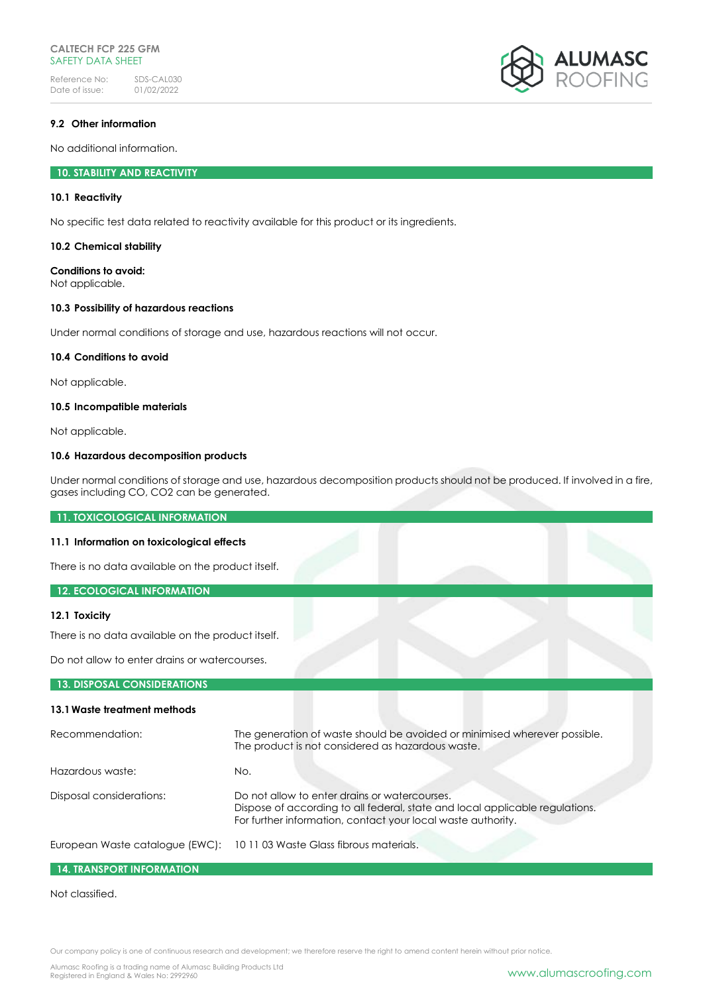# **CALTECH FCP 225 GFM** SAFFTY DATA SHFFT

Reference No: SDS-CAL030<br>Date of issue: 01/02/2022 Date of issue:



## **9.2 Other information**

No additional information.

# **10. STABILITY AND REACTIVITY**

#### **10.1 Reactivity**

No specific test data related to reactivity available for this product or its ingredients.

#### **10.2 Chemical stability**

# **Conditions to avoid:**

Not applicable.

#### **10.3 Possibility of hazardous reactions**

Under normal conditions of storage and use, hazardous reactions will not occur.

#### **10.4 Conditions to avoid**

Not applicable.

## **10.5 Incompatible materials**

Not applicable.

#### **10.6 Hazardous decomposition products**

Under normal conditions of storage and use, hazardous decomposition products should not be produced. If involved in a fire, gases including CO, CO2 can be generated.

**11. TOXICOLOGICAL INFORMATION**

# **11.1 Information on toxicological effects**

There is no data available on the product itself.

# **12. ECOLOGICAL INFORMATION**

#### **12.1 Toxicity**

There is no data available on the product itself.

Do not allow to enter drains or watercourses.

#### **13. DISPOSAL CONSIDERATIONS**

# **13.1Waste treatment methods**

| Recommendation:          | The generation of waste should be avoided or minimised wherever possible.<br>The product is not considered as hazardous waste.                                                                |
|--------------------------|-----------------------------------------------------------------------------------------------------------------------------------------------------------------------------------------------|
| Hazardous waste:         | No.                                                                                                                                                                                           |
| Disposal considerations: | Do not allow to enter drains or watercourses.<br>Dispose of according to all federal, state and local applicable regulations.<br>For further information, contact your local waste authority. |
|                          | European Waste catalogue (EWC): 10 11 03 Waste Glass fibrous materials.                                                                                                                       |

# **14. TRANSPORT INFORMATION**

#### Not classified.